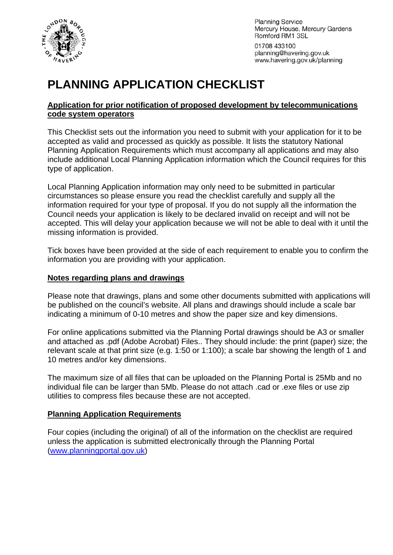

**Planning Service** Mercury House, Mercury Gardens Romford RM1 3SL

01708 433100 planning@havering.gov.uk www.havering.gov.uk/planning

# **PLANNING APPLICATION CHECKLIST**

#### **Application for prior notification of proposed development by telecommunications code system operators**

This Checklist sets out the information you need to submit with your application for it to be accepted as valid and processed as quickly as possible. It lists the statutory National Planning Application Requirements which must accompany all applications and may also include additional Local Planning Application information which the Council requires for this type of application.

Local Planning Application information may only need to be submitted in particular circumstances so please ensure you read the checklist carefully and supply all the information required for your type of proposal. If you do not supply all the information the Council needs your application is likely to be declared invalid on receipt and will not be accepted. This will delay your application because we will not be able to deal with it until the missing information is provided.

Tick boxes have been provided at the side of each requirement to enable you to confirm the information you are providing with your application.

#### **Notes regarding plans and drawings**

Please note that drawings, plans and some other documents submitted with applications will be published on the council's website. All plans and drawings should include a scale bar indicating a minimum of 0-10 metres and show the paper size and key dimensions.

For online applications submitted via the Planning Portal drawings should be A3 or smaller and attached as .pdf (Adobe Acrobat) Files.. They should include: the print (paper) size; the relevant scale at that print size (e.g. 1:50 or 1:100); a scale bar showing the length of 1 and 10 metres and/or key dimensions.

The maximum size of all files that can be uploaded on the Planning Portal is 25Mb and no individual file can be larger than 5Mb. Please do not attach .cad or .exe files or use zip utilities to compress files because these are not accepted.

#### **Planning Application Requirements**

Four copies (including the original) of all of the information on the checklist are required unless the application is submitted electronically through the Planning Portal ([www.planningportal.gov.uk](http://www.planningportal.gov.uk/))